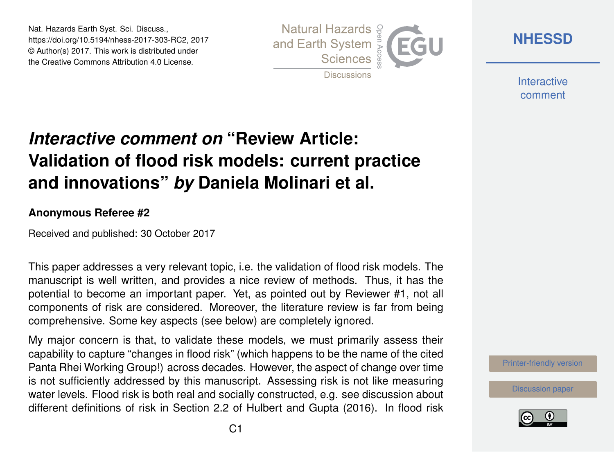Nat. Hazards Earth Syst. Sci. Discuss., https://doi.org/10.5194/nhess-2017-303-RC2, 2017 © Author(s) 2017. This work is distributed under the Creative Commons Attribution 4.0 License.



**[NHESSD](https://www.nat-hazards-earth-syst-sci-discuss.net/)**

**Interactive** comment

## *Interactive comment on* **"Review Article: Validation of flood risk models: current practice and innovations"** *by* **Daniela Molinari et al.**

## **Anonymous Referee #2**

Received and published: 30 October 2017

This paper addresses a very relevant topic, i.e. the validation of flood risk models. The manuscript is well written, and provides a nice review of methods. Thus, it has the potential to become an important paper. Yet, as pointed out by Reviewer #1, not all components of risk are considered. Moreover, the literature review is far from being comprehensive. Some key aspects (see below) are completely ignored.

My major concern is that, to validate these models, we must primarily assess their capability to capture "changes in flood risk" (which happens to be the name of the cited Panta Rhei Working Group!) across decades. However, the aspect of change over time is not sufficiently addressed by this manuscript. Assessing risk is not like measuring water levels. Flood risk is both real and socially constructed, e.g. see discussion about different definitions of risk in Section 2.2 of Hulbert and Gupta (2016). In flood risk



[Discussion paper](https://www.nat-hazards-earth-syst-sci-discuss.net/nhess-2017-303)

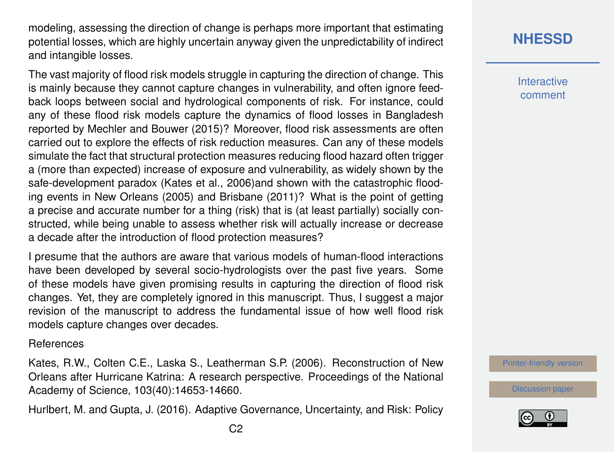modeling, assessing the direction of change is perhaps more important that estimating potential losses, which are highly uncertain anyway given the unpredictability of indirect and intangible losses.

The vast majority of flood risk models struggle in capturing the direction of change. This is mainly because they cannot capture changes in vulnerability, and often ignore feedback loops between social and hydrological components of risk. For instance, could any of these flood risk models capture the dynamics of flood losses in Bangladesh reported by Mechler and Bouwer (2015)? Moreover, flood risk assessments are often carried out to explore the effects of risk reduction measures. Can any of these models simulate the fact that structural protection measures reducing flood hazard often trigger a (more than expected) increase of exposure and vulnerability, as widely shown by the safe-development paradox (Kates et al., 2006)and shown with the catastrophic flooding events in New Orleans (2005) and Brisbane (2011)? What is the point of getting a precise and accurate number for a thing (risk) that is (at least partially) socially constructed, while being unable to assess whether risk will actually increase or decrease a decade after the introduction of flood protection measures?

I presume that the authors are aware that various models of human-flood interactions have been developed by several socio-hydrologists over the past five years. Some of these models have given promising results in capturing the direction of flood risk changes. Yet, they are completely ignored in this manuscript. Thus, I suggest a major revision of the manuscript to address the fundamental issue of how well flood risk models capture changes over decades.

**References** 

Kates, R.W., Colten C.E., Laska S., Leatherman S.P. (2006). Reconstruction of New Orleans after Hurricane Katrina: A research perspective. Proceedings of the National Academy of Science, 103(40):14653-14660.

Hurlbert, M. and Gupta, J. (2016). Adaptive Governance, Uncertainty, and Risk: Policy

**Interactive** comment

[Printer-friendly version](https://www.nat-hazards-earth-syst-sci-discuss.net/nhess-2017-303/nhess-2017-303-RC2-print.pdf)

[Discussion paper](https://www.nat-hazards-earth-syst-sci-discuss.net/nhess-2017-303)